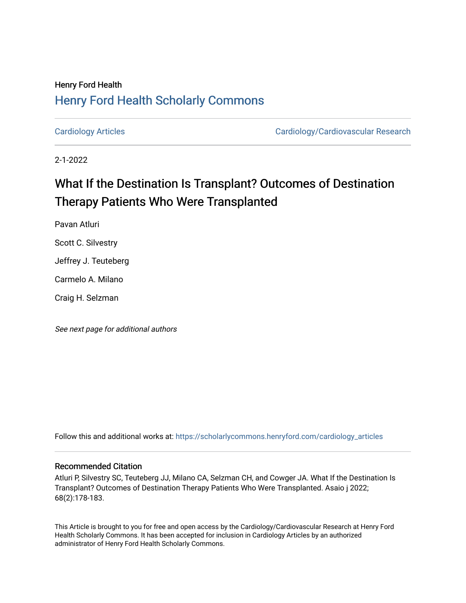## Henry Ford Health [Henry Ford Health Scholarly Commons](https://scholarlycommons.henryford.com/)

[Cardiology Articles](https://scholarlycommons.henryford.com/cardiology_articles) [Cardiology/Cardiovascular Research](https://scholarlycommons.henryford.com/cardiology) 

2-1-2022

# What If the Destination Is Transplant? Outcomes of Destination Therapy Patients Who Were Transplanted

Pavan Atluri

Scott C. Silvestry

Jeffrey J. Teuteberg

Carmelo A. Milano

Craig H. Selzman

See next page for additional authors

Follow this and additional works at: [https://scholarlycommons.henryford.com/cardiology\\_articles](https://scholarlycommons.henryford.com/cardiology_articles?utm_source=scholarlycommons.henryford.com%2Fcardiology_articles%2F888&utm_medium=PDF&utm_campaign=PDFCoverPages)

## Recommended Citation

Atluri P, Silvestry SC, Teuteberg JJ, Milano CA, Selzman CH, and Cowger JA. What If the Destination Is Transplant? Outcomes of Destination Therapy Patients Who Were Transplanted. Asaio j 2022; 68(2):178-183.

This Article is brought to you for free and open access by the Cardiology/Cardiovascular Research at Henry Ford Health Scholarly Commons. It has been accepted for inclusion in Cardiology Articles by an authorized administrator of Henry Ford Health Scholarly Commons.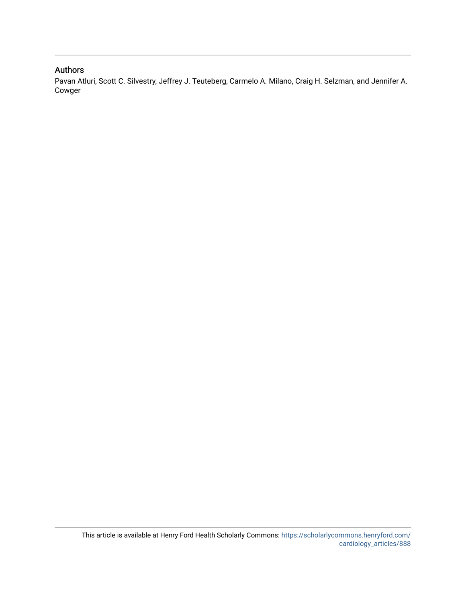## Authors

Pavan Atluri, Scott C. Silvestry, Jeffrey J. Teuteberg, Carmelo A. Milano, Craig H. Selzman, and Jennifer A. Cowger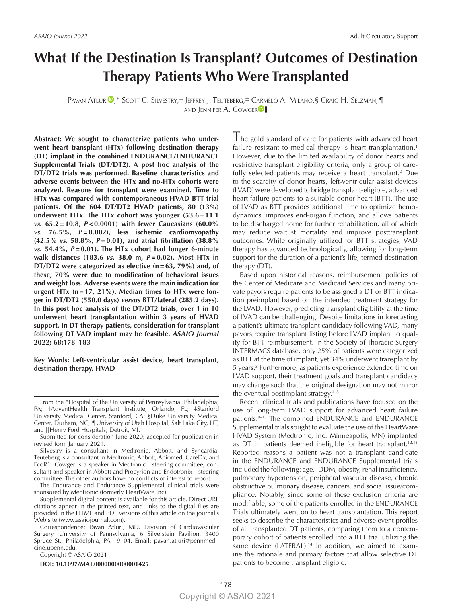## **What If the Destination Is Transplant? Outcomes of Destination Therapy Patients Who Were Transplanted**

PAVAN ATLURI<sup>0</sup>,\* Scott C. Silvestry,† Jeffrey J. Teuteberg,‡ Carmelo A. Milano,§ Craig H. Selzman,¶ AND JENNIFER A. COWGER<sup>DI</sup>I

**Abstract: We sought to characterize patients who underwent heart transplant (HTx) following destination therapy (DT) implant in the combined ENDURANCE/ENDURANCE Supplemental Trials (DT/DT2). A post hoc analysis of the DT/DT2 trials was performed. Baseline characteristics and adverse events between the HTx and no-HTx cohorts were analyzed. Reasons for transplant were examined. Time to HTx was compared with contemporaneous HVAD BTT trial patients. Of the 604 DT/DT2 HVAD patients, 80 (13%) underwent HTx. The HTx cohort was younger (53.6±11.1**  *vs.* **65.2±10.8,** *P***<0.0001) with fewer Caucasians (60.0%**  *vs.* **76.5%,** *P***=0.002), less ischemic cardiomyopathy (42.5%** *vs.* **58.8%,** *P***=0.01), and atrial fibrillation (38.8%**  *vs.* **54.4%,** *P***=0.01). The HTx cohort had longer 6-minute walk distances (183.6** *vs.* **38.0 m,** *P***=0.02). Most HTx in DT/DT2 were categorized as elective (n=63, 79%) and, of these, 70% were due to modification of behavioral issues and weight loss. Adverse events were the main indication for urgent HTx (n=17, 21%). Median times to HTx were longer in DT/DT2 (550.0 days)** *versus* **BTT/lateral (285.2 days). In this post hoc analysis of the DT/DT2 trials, over 1 in 10 underwent heart transplantation within 3 years of HVAD support. In DT therapy patients, consideration for transplant following DT VAD implant may be feasible.** *ASAIO Journal* **2022; 68;178–183**

**Key Words: Left-ventricular assist device, heart transplant, destination therapy, HVAD**

The Endurance and Endurance Supplemental clinical trials were sponsored by Medtronic (formerly HeartWare Inc).

Supplemental digital content is available for this article. Direct URL citations appear in the printed text, and links to the digital files are provided in the HTML and PDF versions of this article on the journal's Web site [\(www.asaiojournal.com](www.asaiojournal.com)).

Correspondence: Pavan Atluri, MD, Division of Cardiovascular Surgery, University of Pennsylvania, 6 Silverstein Pavilion, 3400 Spruce St., Philadelphia, PA 19104. Email: [pavan.atluri@pennmedi](mailto:pavan.atluri@pennmedicine.upenn.edu)[cine.upenn.edu.](mailto:pavan.atluri@pennmedicine.upenn.edu)

Copyright © ASAIO 2021

**DOI: 10.1097/MAT.0000000000001425**

The gold standard of care for patients with advanced heart failure resistant to medical therapy is heart transplantation.<sup>1</sup> However, due to the limited availability of donor hearts and restrictive transplant eligibility criteria, only a group of carefully selected patients may receive a heart transplant.<sup>2</sup> Due to the scarcity of donor hearts, left-ventricular assist devices (LVAD) were developed to bridge transplant-eligible, advanced heart failure patients to a suitable donor heart (BTT). The use of LVAD as BTT provides additional time to optimize hemodynamics, improves end-organ function, and allows patients to be discharged home for further rehabilitation, all of which may reduce waitlist mortality and improve posttransplant outcomes. While originally utilized for BTT strategies, VAD therapy has advanced technologically, allowing for long-term support for the duration of a patient's life, termed destination therapy (DT).

Based upon historical reasons, reimbursement policies of the Center of Medicare and Medicaid Services and many private payors require patients to be assigned a DT or BTT indication preimplant based on the intended treatment strategy for the LVAD. However, predicting transplant eligibility at the time of LVAD can be challenging. Despite limitations in forecasting a patient's ultimate transplant candidacy following VAD, many payors require transplant listing before LVAD implant to quality for BTT reimbursement. In the Society of Thoracic Surgery INTERMACS database, only 25% of patients were categorized as BTT at the time of implant, yet 34% underwent transplant by 5 years.3 Furthermore, as patients experience extended time on LVAD support, their treatment goals and transplant candidacy may change such that the original designation may not mirror the eventual postimplant strategy. $4-8$ 

Recent clinical trials and publications have focused on the use of long-term LVAD support for advanced heart failure patients.<sup>9-13</sup> The combined ENDURANCE and ENDURANCE Supplemental trials sought to evaluate the use of the HeartWare HVAD System (Medtronic, Inc. Minneapolis, MN) implanted as DT in patients deemed ineligible for heart transplant.<sup>12,13</sup> Reported reasons a patient was not a transplant candidate in the ENDURANCE and ENDURANCE Supplemental trials included the following: age, IDDM, obesity, renal insufficiency, pulmonary hypertension, peripheral vascular disease, chronic obstructive pulmonary disease, cancers, and social issue/compliance. Notably, since some of these exclusion criteria are modifiable, some of the patients enrolled in the ENDURANCE Trials ultimately went on to heart transplantation. This report seeks to describe the characteristics and adverse event profiles of all transplanted DT patients, comparing them to a contemporary cohort of patients enrolled into a BTT trial utilizing the same device (LATERAL).<sup>14</sup> In addition, we aimed to examine the rationale and primary factors that allow selective DT patients to become transplant eligible.

From the \*Hospital of the University of Pennsylvania, Philadelphia, PA; †AdventHealth Transplant Institute, Orlando, FL; ‡Stanford University Medical Center, Stanford, CA; §Duke University Medical Center, Durham, NC; ¶University of Utah Hospital, Salt Lake City, UT; and ||Henry Ford Hospitals; Detroit, MI.

Submitted for consideration June 2020; accepted for publication in revised form January 2021.

Silvestry is a consultant in Medtronic, Abbott, and Syncardia. Teuteberg is a consultant in Medtronic, Abbott, Abiomed, CareDx, and EcoR1. Cowger is a speaker in Medtronic—steering committee; consultant and speaker in Abbott and Procyrion and Endotronix—steering committee. The other authors have no conflicts of interest to report.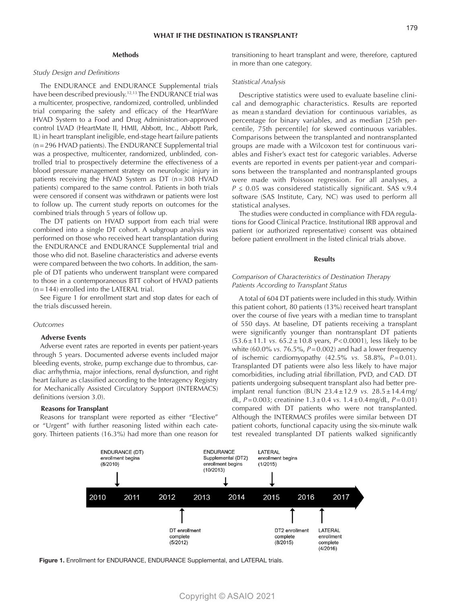#### **Methods**

#### *Study Design and Definitions*

The ENDURANCE and ENDURANCE Supplemental trials have been described previously.<sup>12,13</sup> The ENDURANCE trial was a multicenter, prospective, randomized, controlled, unblinded trial comparing the safety and efficacy of the HeartWare HVAD System to a Food and Drug Administration-approved control LVAD (HeartMate II, HMII, Abbott, Inc., Abbott Park, IL) in heart transplant ineligible, end-stage heart failure patients (n=296 HVAD patients). The ENDURANCE Supplemental trial was a prospective, multicenter, randomized, unblinded, controlled trial to prospectively determine the effectiveness of a blood pressure management strategy on neurologic injury in patients receiving the HVAD System as DT (n=308 HVAD patients) compared to the same control. Patients in both trials were censored if consent was withdrawn or patients were lost to follow up. The current study reports on outcomes for the combined trials through 5 years of follow up.

The DT patients on HVAD support from each trial were combined into a single DT cohort. A subgroup analysis was performed on those who received heart transplantation during the ENDURANCE and ENDURANCE Supplemental trial and those who did not. Baseline characteristics and adverse events were compared between the two cohorts. In addition, the sample of DT patients who underwent transplant were compared to those in a contemporaneous BTT cohort of HVAD patients (n=144) enrolled into the LATERAL trial.

See Figure 1 for enrollment start and stop dates for each of the trials discussed herein.

#### *Outcomes*

#### **Adverse Events**

Adverse event rates are reported in events per patient-years through 5 years. Documented adverse events included major bleeding events, stroke, pump exchange due to thrombus, cardiac arrhythmia, major infections, renal dysfunction, and right heart failure as classified according to the Interagency Registry for Mechanically Assisted Circulatory Support (INTERMACS) definitions (version 3.0).

#### **Reasons for Transplant**

Reasons for transplant were reported as either "Elective" or "Urgent" with further reasoning listed within each category. Thirteen patients (16.3%) had more than one reason for transitioning to heart transplant and were, therefore, captured in more than one category.

#### *Statistical Analysis*

Descriptive statistics were used to evaluate baseline clinical and demographic characteristics. Results are reported as mean  $\pm$  standard deviation for continuous variables, as percentage for binary variables, and as median [25th percentile, 75th percentile] for skewed continuous variables. Comparisons between the transplanted and nontransplanted groups are made with a Wilcoxon test for continuous variables and Fisher's exact test for categoric variables. Adverse events are reported in events per patient-year and comparisons between the transplanted and nontransplanted groups were made with Poisson regression. For all analyses, a  $P \le 0.05$  was considered statistically significant. SAS v.9.4 software (SAS Institute, Cary, NC) was used to perform all statistical analyses.

The studies were conducted in compliance with FDA regulations for Good Clinical Practice. Institutional IRB approval and patient (or authorized representative) consent was obtained before patient enrollment in the listed clinical trials above.

#### **Results**

#### *Comparison of Characteristics of Destination Therapy Patients According to Transplant Status*

A total of 604 DT patients were included in this study. Within this patient cohort, 80 patients (13%) received heart transplant over the course of five years with a median time to transplant of 550 days. At baseline, DT patients receiving a transplant were significantly younger than nontransplant DT patients (53.6±11.1 *vs.* 65.2±10.8 years, *P*<0.0001), less likely to be white (60.0% *vs.* 76.5%, *P*=0.002) and had a lower frequency of ischemic cardiomyopathy (42.5% *vs.* 58.8%, *P*=0.01). Transplanted DT patients were also less likely to have major comorbidities, including atrial fibrillation, PVD, and CAD. DT patients undergoing subsequent transplant also had better preimplant renal function (BUN 23.4±12.9 *vs.* 28.5±14.4mg/ dL, *P*=0.003; creatinine 1.3±0.4 *vs.* 1.4±0.4mg/dL, *P*=0.01) compared with DT patients who were not transplanted. Although the INTERMACS profiles were similar between DT patient cohorts, functional capacity using the six-minute walk test revealed transplanted DT patients walked significantly



Figure 1. Enrollment for ENDURANCE, ENDURANCE Supplemental, and LATERAL trials.

### Copyright © ASAIO 2021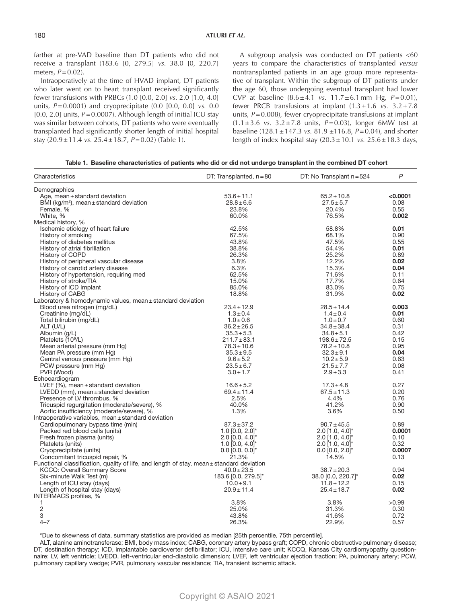farther at pre-VAD baseline than DT patients who did not receive a transplant (183.6 [0, 279.5] *vs.* 38.0 [0, 220.7] meters, *P*=0.02).

Intraoperatively at the time of HVAD implant, DT patients who later went on to heart transplant received significantly fewer transfusions with PRBCs (1.0 [0.0, 2.0] *vs.* 2.0 [1.0, 4.0] units, *P*=0.0001) and cryoprecipitate (0.0 [0.0, 0.0] *vs.* 0.0 [0.0, 2.0] units, *P*=0.0007). Although length of initial ICU stay was similar between cohorts, DT patients who were eventually transplanted had significantly shorter length of initial hospital stay (20.9±11.4 *vs.* 25.4±18.7, *P*=0.02) (Table 1).

A subgroup analysis was conducted on DT patients <60 years to compare the characteristics of transplanted *versus* nontransplanted patients in an age group more representative of transplant. Within the subgroup of DT patients under the age 60, those undergoing eventual transplant had lower CVP at baseline (8.6±4.1 *vs.* 11.7±6.1mm Hg, *P*=0.01), fewer PRCB transfusions at implant  $(1.3 \pm 1.6 \text{ vs. } 3.2 \pm 7.8 \text{ s})$ units, *P*=0.008), fewer cryoprecipitate transfusions at implant  $(1.1 \pm 3.6 \text{ vs. } 3.2 \pm 7.8 \text{ units}, P = 0.03)$ , longer 6MW test at baseline (128.1±147.3 *vs.* 81.9 ±116.8, *P*=0.04), and shorter length of index hospital stay (20.3±10.1 *vs.* 25.6±18.3 days,

| Table 1. Baseline characteristics of patients who did or did not undergo transplant in the combined DT cohort |
|---------------------------------------------------------------------------------------------------------------|
|---------------------------------------------------------------------------------------------------------------|

| Characteristics                                                                           | DT: Transplanted, $n = 80$      | DT: No Transplant $n = 524$   | $\mathsf{P}$ |
|-------------------------------------------------------------------------------------------|---------------------------------|-------------------------------|--------------|
| Demographics                                                                              |                                 |                               |              |
| Age, mean $\pm$ standard deviation                                                        | $53.6 \pm 11.1$                 | $65.2 \pm 10.8$               | < 0.0001     |
| BMI ( $kq/m^2$ ), mean $\pm$ standard deviation                                           | $28.8 + 6.6$                    | $27.5 \pm 5.7$                | 0.08         |
| Female, %                                                                                 | 23.8%                           | 20.4%                         | 0.55         |
| White, %                                                                                  | 60.0%                           | 76.5%                         | 0.002        |
| Medical history, %                                                                        |                                 |                               |              |
| Ischemic etiology of heart failure                                                        | 42.5%                           | 58.8%                         | 0.01         |
| History of smoking                                                                        | 67.5%                           | 68.1%                         | 0.90         |
| History of diabetes mellitus                                                              | 43.8%                           | 47.5%                         | 0.55         |
| History of atrial fibrillation                                                            | 38.8%                           | 54.4%                         | 0.01         |
| History of COPD                                                                           | 26.3%                           | 25.2%                         | 0.89         |
| History of peripheral vascular disease                                                    | 3.8%                            | 12.2%                         | 0.02         |
| History of carotid artery disease                                                         | 6.3%                            | 15.3%                         | 0.04         |
| History of hypertension, requiring med                                                    | 62.5%                           | 71.6%                         | 0.11         |
| History of stroke/TIA                                                                     | 15.0%                           | 17.7%                         | 0.64         |
| History of ICD Implant                                                                    | 85.0%                           | 83.0%                         | 0.75         |
| History of CABG                                                                           | 18.8%                           | 31.9%                         | 0.02         |
| Laboratory & hemodynamic values, mean ± standard deviation                                |                                 |                               |              |
| Blood urea nitrogen (mg/dL)                                                               | $23.4 \pm 12.9$                 | $28.5 \pm 14.4$               | 0.003        |
| Creatinine (mg/dL)                                                                        | $1.3 \pm 0.4$                   | $1.4 \pm 0.4$                 | 0.01         |
| Total bilirubin (mg/dL)                                                                   | $1.0 \pm 0.6$                   | $1.0 \pm 0.7$                 | 0.60         |
| ALT (U/L)                                                                                 | $36.2 \pm 26.5$                 | $34.8 \pm 38.4$               | 0.31         |
| Albumin (g/L)                                                                             | $35.3 + 5.3$                    | $34.8 \pm 5.1$                | 0.42         |
| Platelets (10 <sup>9</sup> /L)                                                            | $211.7 \pm 83.1$                | $198.6 \pm 72.5$              | 0.15         |
| Mean arterial pressure (mm Hg)                                                            | $78.3 \pm 10.6$                 | $78.2 \pm 10.8$               | 0.95         |
| Mean PA pressure (mm Hg)                                                                  | $35.3 \pm 9.5$                  | $32.3 \pm 9.1$                | 0.04         |
| Central venous pressure (mm Hg)                                                           | $9.6 \pm 5.2$                   | $10.2 \pm 5.9$                | 0.63         |
| PCW pressure (mm Hg)                                                                      | $23.5 + 6.7$                    | $21.5 \pm 7.7$                | 0.08         |
| PVR (Wood)                                                                                | $3.0 \pm 1.7$                   | $2.9 \pm 3.3$                 | 0.41         |
| Echocardiogram                                                                            |                                 |                               |              |
| LVEF $(% ,$ mean $\pm$ standard deviation                                                 | $16.6 \pm 5.2$                  | $17.3 \pm 4.8$                | 0.27         |
| LVEDD (mm), mean $\pm$ standard deviation                                                 | $69.4 \pm 11.4$                 | $67.5 \pm 11.3$               | 0.20         |
| Presence of LV thrombus, %                                                                | 2.5%                            | 4.4%                          | 0.76         |
| Tricuspid regurgitation (moderate/severe), %                                              | 40.0%                           | 41.2%                         | 0.90         |
| Aortic insufficiency (moderate/severe), %                                                 | 1.3%                            | 3.6%                          | 0.50         |
| Intraoperative variables, mean ± standard deviation                                       |                                 |                               |              |
| Cardiopulmonary bypass time (min)                                                         | $87.3 \pm 37.2$                 | $90.7 \pm 45.5$               | 0.89         |
| Packed red blood cells (units)                                                            | 1.0 $[0.0, 2.0]$ <sup>*</sup>   | $2.0$ [1.0, 4.0]*             | 0.0001       |
| Fresh frozen plasma (units)                                                               | $2.0$ [0.0, 4.0]*               | $2.0$ [1.0, 4.0] <sup>*</sup> | 0.10         |
| Platelets (units)                                                                         | 1.0 $[0.0, 4.0]$ <sup>*</sup>   | $2.0$ [1.0, 4.0]*             | 0.32         |
| Cryoprecipitate (units)                                                                   | $0.0$ [0.0, $0.0]$ <sup>*</sup> | $0.0$ [0.0, 2.0]*             | 0.0007       |
| Concomitant tricuspid repair, %                                                           | 21.3%                           | 14.5%                         | 0.13         |
| Functional classification, quality of life, and length of stay, mean ± standard deviation |                                 |                               |              |
| <b>KCCQ: Overall Summary Score</b>                                                        | $40.0 \pm 23.5$                 | $38.7 \pm 20.3$               | 0.94         |
| Six-minute Walk Test (m)                                                                  | 183.6 [0.0, 279.5]*             | 38.0 [0.0, 220.7]*            | 0.02         |
| Length of ICU stay (days)                                                                 | $10.0 \pm 9.1$                  | $11.8 \pm 12.2$               | 0.15         |
| Length of hospital stay (days)                                                            | $20.9 \pm 11.4$                 | $25.4 \pm 18.7$               | 0.02         |
| INTERMACS profiles, %                                                                     |                                 |                               |              |
| 1                                                                                         | 3.8%                            | 3.8%                          | >0.99        |
| $\mathbf 2$                                                                               | 25.0%                           | 31.3%                         | 0.30         |
| 3                                                                                         | 43.8%                           | 41.6%                         | 0.72         |
| $4 - 7$                                                                                   | 26.3%                           | 22.9%                         | 0.57         |
|                                                                                           |                                 |                               |              |

\*Due to skewness of data, summary statistics are provided as median [25th percentile, 75th percentile].

ALT, alanine aminotransferase; BMI, body mass index; CABG, coronary artery bypass graft; COPD, chronic obstructive pulmonary disease; DT, destination therapy; ICD, implantable cardioverter defibrillator; ICU, intensive care unit; KCCQ, Kansas City cardiomyopathy questionnaire; LV, left ventricle; LVEDD, left-ventricular end-diastolic dimension; LVEF, left ventricular ejection fraction; PA, pulmonary artery; PCW, pulmonary capillary wedge; PVR, pulmonary vascular resistance; TIA, transient ischemic attack.

## Copyright © ASAIO 2021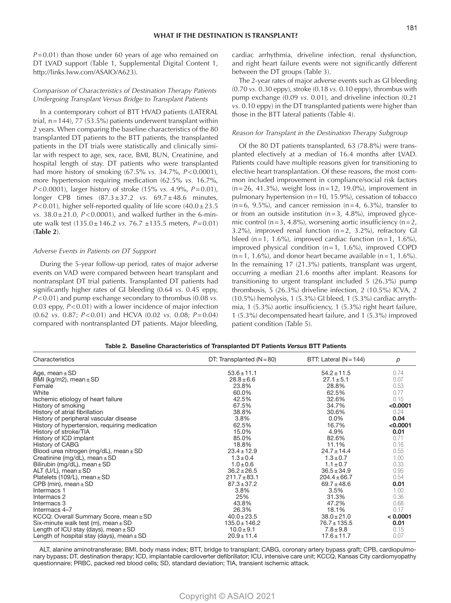*P*=0.01) than those under 60 years of age who remained on DT LVAD support (Table 1, Supplemental Digital Content 1, [http://links.lww.com/ASAIO/A623\)](http://links.lww.com/ASAIO/A623).

#### *Comparison of Characteristics of Destination Therapy Patients Undergoing Transplant Versus Bridge to Transplant Patients*

In a contemporary cohort of BTT HVAD patients (LATERAL trial,  $n=144$ ), 77 (53.5%) patients underwent transplant within 2 years. When comparing the baseline characteristics of the 80 transplanted DT patients to the BTT patients, the transplanted patients in the DT trials were statistically and clinically similar with respect to age, sex, race, BMI, BUN, Creatinine, and hospital length of stay. DT patients who were transplanted had more history of smoking (67.5% *vs.* 34.7%, *P*<0.0001), more hypertension requiring medication (62.5% *vs.* 16.7%, *P*<0.0001), larger history of stroke (15% *vs.* 4.9%, *P*=0.01), longer CPB times (87.3±37.2 *vs.* 69.7±48.6 minutes,  $P$ <0.01), higher self-reported quality of life score  $(40.0 \pm 23.5)$ *vs.* 38.0±21.0, *P*<0.0001), and walked further in the 6-minute walk test (135.0±146.2 *vs.* 76.7 ±135.5 meters, *P*=0.01) (**Table 2**).

#### *Adverse Events in Patients on DT Support*

During the 5-year follow-up period, rates of major adverse events on VAD were compared between heart transplant and nontransplant DT trial patients. Transplanted DT patients had significantly higher rates of GI bleeding (0.64 *vs.* 0.45 eppy, *P*<0.01) and pump exchange secondary to thrombus (0.08 *vs.* 0.03 eppy, *P*<0.01) with a lower incidence of major infection (0.62 *vs.* 0.87; *P*<0.01) and HCVA (0.02 *vs.* 0.08; *P*=0.04) compared with nontransplanted DT patients. Major bleeding,

cardiac arrhythmia, driveline infection, renal dysfunction, and right heart failure events were not significantly different between the DT groups (Table 3).

The 2-year rates of major adverse events such as GI bleeding (0.70 *vs.* 0.30 eppy), stroke (0.18 *vs.* 0.10 eppy), thrombus with pump exchange (0.09 *vs.* 0.01), and driveline infection (0.21 *vs.* 0.10 eppy) in the DT transplanted patients were higher than those in the BTT lateral patients (Table 4).

#### *Reason for Transplant in the Destination Therapy Subgroup*

Of the 80 DT patients transplanted, 63 (78.8%) were transplanted electively at a median of 16.4 months after LVAD. Patients could have multiple reasons given for transitioning to elective heart transplantation. Of these reasons, the most common included improvement in compliance/social risk factors  $(n=26, 41.3\%)$ , weight loss  $(n=12, 19.0\%)$ , improvement in pulmonary hypertension (n=10, 15.9%), cessation of tobacco  $(n=6, 9.5\%)$ , and cancer remission  $(n=4, 6.3\%)$ , transfer to or from an outside institution ( $n=3$ , 4.8%), improved glycemic control ( $n=3$ , 4.8%), worsening aortic insufficiency ( $n=2$ , 3.2%), improved renal function (n=2, 3.2%), refractory GI bleed (n=1, 1.6%), improved cardiac function (n=1, 1.6%), improved physical condition (n=1, 1.6%), improved COPD  $(n=1, 1.6\%)$ , and donor heart became available  $(n=1, 1.6\%)$ . In the remaining 17 (21.3%) patients, transplant was urgent, occurring a median 21.6 months after implant. Reasons for transitioning to urgent transplant included 5 (26.3%) pump thrombosis, 5 (26.3%) driveline infection, 2 (10.5%) ICVA, 2 (10.5%) hemolysis, 1 (5.3%) GI bleed, 1 (5.3%) cardiac arrythmia, 1 (5.3%) aortic insufficiency, 1 (5.3%) right heart failure, 1 (5.3%) decompensated heart failure, and 1 (5.3%) improved patient condition (Table 5).

|  |  | Table 2. Baseline Characteristics of Transplanted DT Patients Versus BTT Patients |  |  |  |  |
|--|--|-----------------------------------------------------------------------------------|--|--|--|--|
|--|--|-----------------------------------------------------------------------------------|--|--|--|--|

| Characteristics                               | DT: Transplanted $(N=80)$ | BTT: Lateral $(N = 144)$ | р        |
|-----------------------------------------------|---------------------------|--------------------------|----------|
| Age, mean $\pm$ SD                            | $53.6 \pm 11.1$           | $54.2 \pm 11.5$          | 0.74     |
| BMI (kg/m2), mean $\pm$ SD                    | $28.8 + 6.6$              | $27.1 \pm 5.1$           | 0.07     |
| Female                                        | 23.8%                     | 28.8%                    | 0.53     |
| White                                         | 60.0%                     | 62.5%                    | 0.77     |
| Ischemic etiology of heart failure            | 42.5%                     | 32.6%                    | 0.15     |
| History of smoking                            | 67.5%                     | 34.7%                    | < 0.0001 |
| History of atrial fibrillation                | 38.8%                     | 30.6%                    | 0.24     |
| History of peripheral vascular disease        | 3.8%                      | $0.0\%$                  | 0.04     |
| History of hypertension, requiring medication | 62.5%                     | 16.7%                    | < 0.0001 |
| History of stroke/TIA                         | 15.0%                     | 4.9%                     | 0.01     |
| History of ICD implant                        | 85.0%                     | 82.6%                    | 0.71     |
| History of CABG                               | 18.8%                     | 11.1%                    | 0.16     |
| Blood urea nitrogen (mg/dL), mean ± SD        | $23.4 \pm 12.9$           | $24.7 \pm 14.4$          | 0.55     |
| Creatinine (mg/dL), mean $\pm$ SD             | $1.3 \pm 0.4$             | $1.3 \pm 0.7$            | 1.00     |
| Bilirubin (mg/dL), mean $\pm$ SD              | $1.0 \pm 0.6$             | $1.1 \pm 0.7$            | 0.33     |
| ALT (U/L), mean $\pm$ SD                      | $36.2 \pm 26.5$           | $36.5 \pm 34.9$          | 0.95     |
| Platelets (109/L), mean $\pm$ SD              | $211.7 \pm 83.1$          | $204.4 \pm 66.7$         | 0.54     |
| CPB (min), mean $\pm$ SD                      | $87.3 \pm 37.2$           | $69.7 \pm 48.6$          | 0.01     |
| Intermacs 1                                   | 3.8%                      | 3.5%                     | 1.00     |
| Intermacs 2                                   | 25%                       | 31.3%                    | 0.36     |
| Intermacs 3                                   | 43.8%                     | 47.2%                    | 0.68     |
| Intermacs 4–7                                 | 26.3%                     | 18.1%                    | 0.17     |
| KCCQ: Overall Summary Score, mean ± SD        | $40.0 \pm 23.5$           | $38.0 \pm 21.0$          | < 0.0001 |
| Six-minute walk test (m), mean $\pm$ SD       | $135.0 \pm 146.2$         | $76.7 \pm 135.5$         | 0.01     |
| Length of ICU stay (days), mean $\pm$ SD      | $10.0 \pm 9.1$            | $7.8 \pm 9.8$            | 0.15     |
| Length of hospital stay (days), mean $\pm$ SD | $20.9 \pm 11.4$           | $17.6 \pm 11.7$          | 0.07     |

ALT, alanine aminotransferase; BMI, body mass index; BTT, bridge to transplant; CABG, coronary artery bypass graft; CPB, cardiopulmonary bypass; DT, destination therapy; ICD, implantable cardioverter defibrillator; ICU, intensive care unit; KCCQ, Kansas City cardiomyopathy questionnaire; PRBC, packed red blood cells; SD, standard deviation; TIA, transient ischemic attack.

### Copyright © ASAIO 2021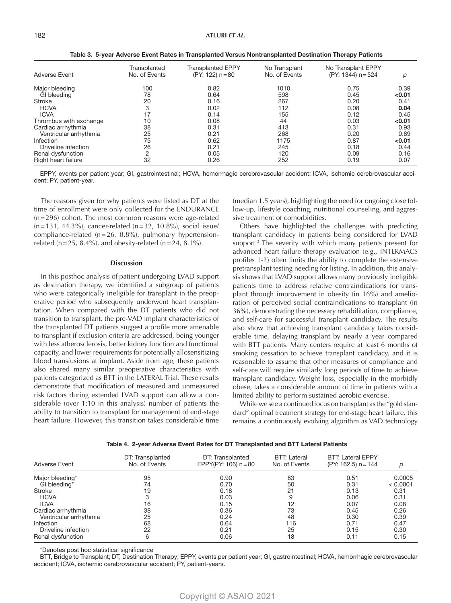| <b>Adverse Event</b>   | Transplanted<br>No. of Events | <b>Transplanted EPPY</b><br>(PY: 122) n = 80 | No Transplant<br>No. of Events | No Transplant EPPY<br>(PY: 1344) n = 524 | р      |
|------------------------|-------------------------------|----------------------------------------------|--------------------------------|------------------------------------------|--------|
|                        |                               |                                              |                                |                                          |        |
| Maior bleeding         | 100                           | 0.82                                         | 1010                           | 0.75                                     | 0.39   |
| GI bleeding            | 78                            | 0.64                                         | 598                            | 0.45                                     | < 0.01 |
| <b>Stroke</b>          | 20                            | 0.16                                         | 267                            | 0.20                                     | 0.41   |
| <b>HCVA</b>            | 3                             | 0.02                                         | 112                            | 0.08                                     | 0.04   |
| <b>ICVA</b>            | 17                            | 0.14                                         | 155                            | 0.12                                     | 0.45   |
| Thrombus with exchange | 10                            | 0.08                                         | 44                             | 0.03                                     | < 0.01 |
| Cardiac arrhythmia     | 38                            | 0.31                                         | 413                            | 0.31                                     | 0.93   |
| Ventricular arrhythmia | 25                            | 0.21                                         | 268                            | 0.20                                     | 0.89   |
| <b>Infection</b>       | 75                            | 0.62                                         | 1175                           | 0.87                                     | < 0.01 |
| Driveline infection    | 26                            | 0.21                                         | 245                            | 0.18                                     | 0.44   |
| Renal dysfunction      | 2                             | 0.05                                         | 120                            | 0.09                                     | 0.16   |
| Right heart failure    | 32                            | 0.26                                         | 252                            | 0.19                                     | 0.07   |

Table 3. 5-year Adverse Event Rates in Transplanted Versus Nontransplanted Destination Therapy Patients

EPPY, events per patient year; GI, gastrointestinal; HCVA, hemorrhagic cerebrovascular accident; ICVA, ischemic cerebrovascular accident; PY, patient-year.

The reasons given for why patients were listed as DT at the time of enrollment were only collected for the ENDURANCE (n=296) cohort. The most common reasons were age-related  $(n=131, 44.3\%)$ , cancer-related  $(n=32, 10.8\%)$ , social issue/ compliance-related (n=26, 8.8%), pulmonary hypertensionrelated (n=25, 8.4%), and obesity-related (n=24, 8.1%).

#### **Discussion**

In this posthoc analysis of patient undergoing LVAD support as destination therapy, we identified a subgroup of patients who were categorically ineligible for transplant in the preoperative period who subsequently underwent heart transplantation. When compared with the DT patients who did not transition to transplant, the pre-VAD implant characteristics of the transplanted DT patients suggest a profile more amenable to transplant if exclusion criteria are addressed, being younger with less atherosclerosis, better kidney function and functional capacity, and lower requirements for potentially allosensitizing blood transfusions at implant. Aside from age, these patients also shared many similar preoperative characteristics with patients categorized as BTT in the LATERAL Trial. These results demonstrate that modification of measured and unmeasured risk factors during extended LVAD support can allow a considerable (over 1:10 in this analysis) number of patients the ability to transition to transplant for management of end-stage heart failure. However, this transition takes considerable time

(median 1.5 years), highlighting the need for ongoing close follow-up, lifestyle coaching, nutritional counseling, and aggressive treatment of comorbidities.

Others have highlighted the challenges with predicting transplant candidacy in patients being considered for LVAD support.<sup>3</sup> The severity with which many patients present for advanced heart failure therapy evaluation (e.g., INTERMACS profiles 1-2) often limits the ability to complete the extensive pretransplant testing needing for listing. In addition, this analysis shows that LVAD support allows many previously ineligible patients time to address relative contraindications for transplant through improvement in obesity (in 16%) and amelioration of perceived social contraindications to transplant (in 36%), demonstrating the necessary rehabilitation, compliance, and self-care for successful transplant candidacy. The results also show that achieving transplant candidacy takes considerable time, delaying transplant by nearly a year compared with BTT patients. Many centers require at least 6 months of smoking cessation to achieve transplant candidacy, and it is reasonable to assume that other measures of compliance and self-care will require similarly long periods of time to achieve transplant candidacy. Weight loss, especially in the morbidly obese, takes a considerable amount of time in patients with a limited ability to perform sustained aerobic exercise.

While we see a continued focus on transplant as the "gold standard" optimal treatment strategy for end-stage heart failure, this remains a continuously evolving algorithm as VAD technology

| Adverse Event          | DT: Transplanted<br>No. of Events | DT: Transplanted<br>EPPY(PY: 106) $n = 80$ | BTT: Lateral<br>No. of Events | <b>BTT: Lateral EPPY</b><br>$(PY: 162.5) n = 144$ | р        |
|------------------------|-----------------------------------|--------------------------------------------|-------------------------------|---------------------------------------------------|----------|
| Major bleeding*        | 95                                | 0.90                                       | 83                            | 0.51                                              | 0.0005   |
| GI bleeding*           | 74                                | 0.70                                       | 50                            | 0.31                                              | < 0.0001 |
| <b>Stroke</b>          | 19                                | 0.18                                       | 21                            | 0.13                                              | 0.31     |
| <b>HCVA</b>            | 3                                 | 0.03                                       | 9                             | 0.06                                              | 0.31     |
| <b>ICVA</b>            | 16                                | 0.15                                       | 12                            | 0.07                                              | 0.08     |
| Cardiac arrhythmia     | 38                                | 0.36                                       | 73                            | 0.45                                              | 0.26     |
| Ventricular arrhythmia | 25                                | 0.24                                       | 48                            | 0.30                                              | 0.39     |
| Infection              | 68                                | 0.64                                       | 116                           | 0.71                                              | 0.47     |
| Driveline infection    | 22                                | 0.21                                       | 25                            | 0.15                                              | 0.30     |
| Renal dysfunction      | 6                                 | 0.06                                       | 18                            | 0.11                                              | 0.15     |

Table 4. 2-year Adverse Event Rates for DT Transplanted and BTT Lateral Patients

\*Denotes post hoc statistical significance

BTT, Bridge to Transplant; DT, Destination Therapy; EPPY, events per patient year; GI, gastrointestinal; HCVA, hemorrhagic cerebrovascular accident; ICVA, ischemic cerebrovascular accident; PY, patient-years.